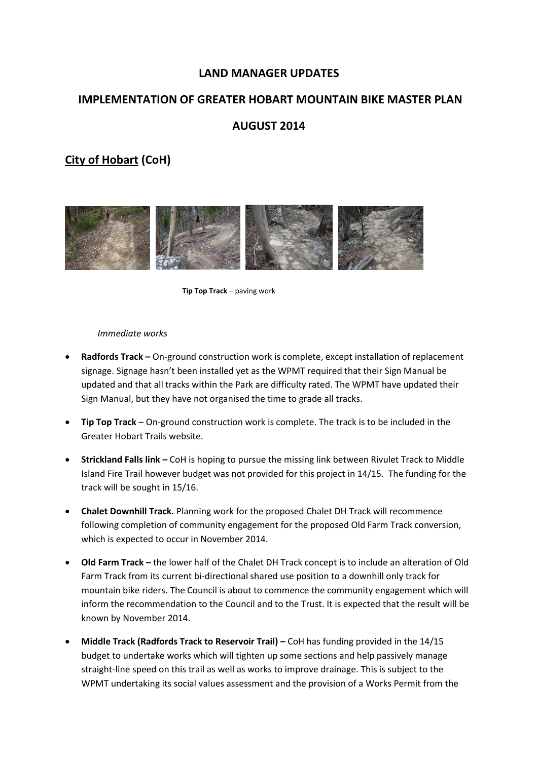#### **LAND MANAGER UPDATES**

#### **IMPLEMENTATION OF GREATER HOBART MOUNTAIN BIKE MASTER PLAN**

#### **AUGUST 2014**

# **City of Hobart (CoH)**



**Tip Top Track** – paving work

#### *Immediate works*

- **Radfords Track –** On-ground construction work is complete, except installation of replacement signage. Signage hasn't been installed yet as the WPMT required that their Sign Manual be updated and that all tracks within the Park are difficulty rated. The WPMT have updated their Sign Manual, but they have not organised the time to grade all tracks.
- **Tip Top Track**  On-ground construction work is complete. The track is to be included in the Greater Hobart Trails website.
- **Strickland Falls link –** CoH is hoping to pursue the missing link between Rivulet Track to Middle Island Fire Trail however budget was not provided for this project in 14/15. The funding for the track will be sought in 15/16.
- **Chalet Downhill Track.** Planning work for the proposed Chalet DH Track will recommence following completion of community engagement for the proposed Old Farm Track conversion, which is expected to occur in November 2014.
- **Old Farm Track –** the lower half of the Chalet DH Track concept is to include an alteration of Old Farm Track from its current bi-directional shared use position to a downhill only track for mountain bike riders. The Council is about to commence the community engagement which will inform the recommendation to the Council and to the Trust. It is expected that the result will be known by November 2014.
- **Middle Track (Radfords Track to Reservoir Trail) –** CoH has funding provided in the 14/15 budget to undertake works which will tighten up some sections and help passively manage straight-line speed on this trail as well as works to improve drainage. This is subject to the WPMT undertaking its social values assessment and the provision of a Works Permit from the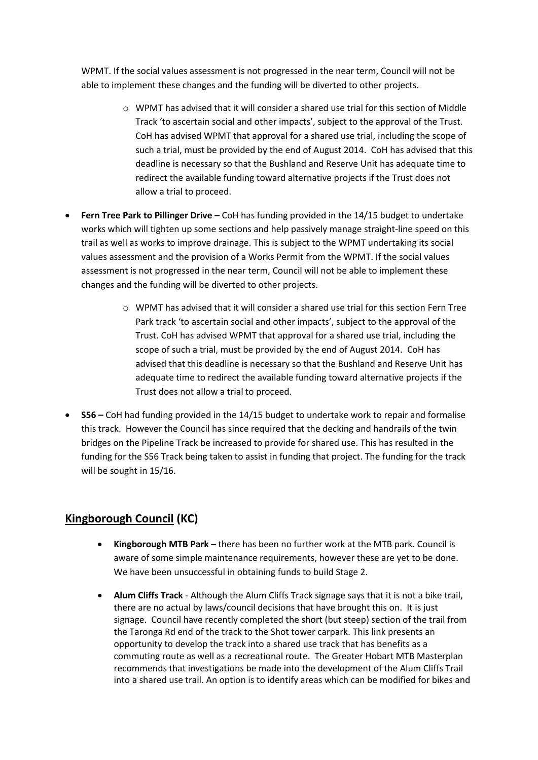WPMT. If the social values assessment is not progressed in the near term, Council will not be able to implement these changes and the funding will be diverted to other projects.

- $\circ$  WPMT has advised that it will consider a shared use trial for this section of Middle Track 'to ascertain social and other impacts', subject to the approval of the Trust. CoH has advised WPMT that approval for a shared use trial, including the scope of such a trial, must be provided by the end of August 2014. CoH has advised that this deadline is necessary so that the Bushland and Reserve Unit has adequate time to redirect the available funding toward alternative projects if the Trust does not allow a trial to proceed.
- **•** Fern Tree Park to Pillinger Drive CoH has funding provided in the 14/15 budget to undertake works which will tighten up some sections and help passively manage straight-line speed on this trail as well as works to improve drainage. This is subject to the WPMT undertaking its social values assessment and the provision of a Works Permit from the WPMT. If the social values assessment is not progressed in the near term, Council will not be able to implement these changes and the funding will be diverted to other projects.
	- o WPMT has advised that it will consider a shared use trial for this section Fern Tree Park track 'to ascertain social and other impacts', subject to the approval of the Trust. CoH has advised WPMT that approval for a shared use trial, including the scope of such a trial, must be provided by the end of August 2014. CoH has advised that this deadline is necessary so that the Bushland and Reserve Unit has adequate time to redirect the available funding toward alternative projects if the Trust does not allow a trial to proceed.
- **S56 –** CoH had funding provided in the 14/15 budget to undertake work to repair and formalise this track. However the Council has since required that the decking and handrails of the twin bridges on the Pipeline Track be increased to provide for shared use. This has resulted in the funding for the S56 Track being taken to assist in funding that project. The funding for the track will be sought in 15/16.

### **Kingborough Council (KC)**

- **Kingborough MTB Park** there has been no further work at the MTB park. Council is aware of some simple maintenance requirements, however these are yet to be done. We have been unsuccessful in obtaining funds to build Stage 2.
- **Alum Cliffs Track** Although the Alum Cliffs Track signage says that it is not a bike trail, there are no actual by laws/council decisions that have brought this on. It is just signage. Council have recently completed the short (but steep) section of the trail from the Taronga Rd end of the track to the Shot tower carpark. This link presents an opportunity to develop the track into a shared use track that has benefits as a commuting route as well as a recreational route. The Greater Hobart MTB Masterplan recommends that investigations be made into the development of the Alum Cliffs Trail into a shared use trail. An option is to identify areas which can be modified for bikes and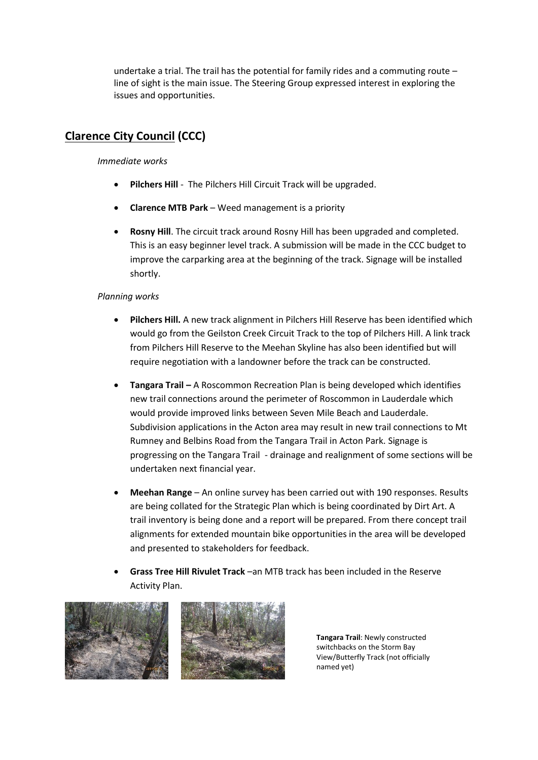undertake a trial. The trail has the potential for family rides and a commuting route – line of sight is the main issue. The Steering Group expressed interest in exploring the issues and opportunities.

## **Clarence City Council (CCC)**

*Immediate works*

- **Pilchers Hill** The Pilchers Hill Circuit Track will be upgraded.
- **Clarence MTB Park**  Weed management is a priority
- **Rosny Hill**. The circuit track around Rosny Hill has been upgraded and completed. This is an easy beginner level track. A submission will be made in the CCC budget to improve the carparking area at the beginning of the track. Signage will be installed shortly.

#### *Planning works*

- **Pilchers Hill.** A new track alignment in Pilchers Hill Reserve has been identified which would go from the Geilston Creek Circuit Track to the top of Pilchers Hill. A link track from Pilchers Hill Reserve to the Meehan Skyline has also been identified but will require negotiation with a landowner before the track can be constructed.
- **Tangara Trail –** A Roscommon Recreation Plan is being developed which identifies new trail connections around the perimeter of Roscommon in Lauderdale which would provide improved links between Seven Mile Beach and Lauderdale. Subdivision applications in the Acton area may result in new trail connections to Mt Rumney and Belbins Road from the Tangara Trail in Acton Park. Signage is progressing on the Tangara Trail - drainage and realignment of some sections will be undertaken next financial year.
- **Meehan Range** An online survey has been carried out with 190 responses. Results are being collated for the Strategic Plan which is being coordinated by Dirt Art. A trail inventory is being done and a report will be prepared. From there concept trail alignments for extended mountain bike opportunities in the area will be developed and presented to stakeholders for feedback.
- **Grass Tree Hill Rivulet Track** –an MTB track has been included in the Reserve Activity Plan.



**Tangara Trail**: Newly constructed switchbacks on the Storm Bay View/Butterfly Track (not officially named yet)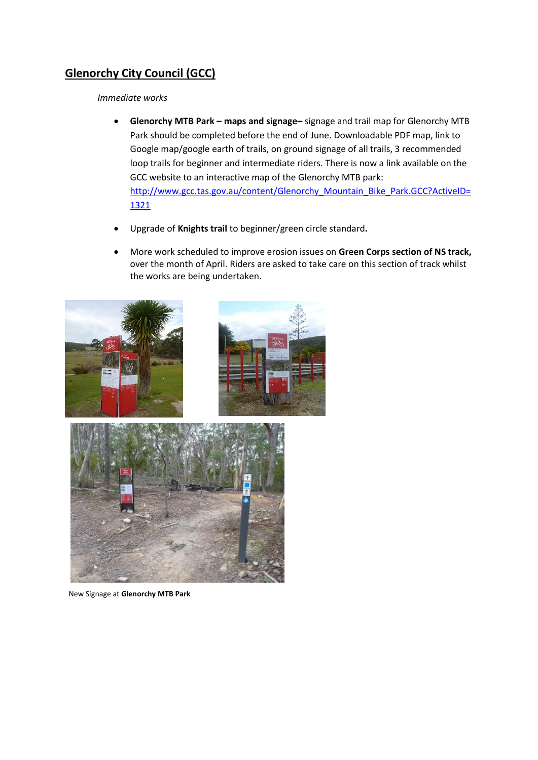# **Glenorchy City Council (GCC)**

*Immediate works*

- **Glenorchy MTB Park – maps and signage–** signage and trail map for Glenorchy MTB Park should be completed before the end of June. Downloadable PDF map, link to Google map/google earth of trails, on ground signage of all trails, 3 recommended loop trails for beginner and intermediate riders. There is now a link available on the GCC website to an interactive map of the Glenorchy MTB park: [http://www.gcc.tas.gov.au/content/Glenorchy\\_Mountain\\_Bike\\_Park.GCC?ActiveID=](http://www.gcc.tas.gov.au/content/Glenorchy_Mountain_Bike_Park.GCC?ActiveID=1321) [1321](http://www.gcc.tas.gov.au/content/Glenorchy_Mountain_Bike_Park.GCC?ActiveID=1321)
- Upgrade of **Knights trail** to beginner/green circle standard**.**
- More work scheduled to improve erosion issues on **Green Corps section of NS track,**  over the month of April. Riders are asked to take care on this section of track whilst the works are being undertaken.



New Signage at **Glenorchy MTB Park**